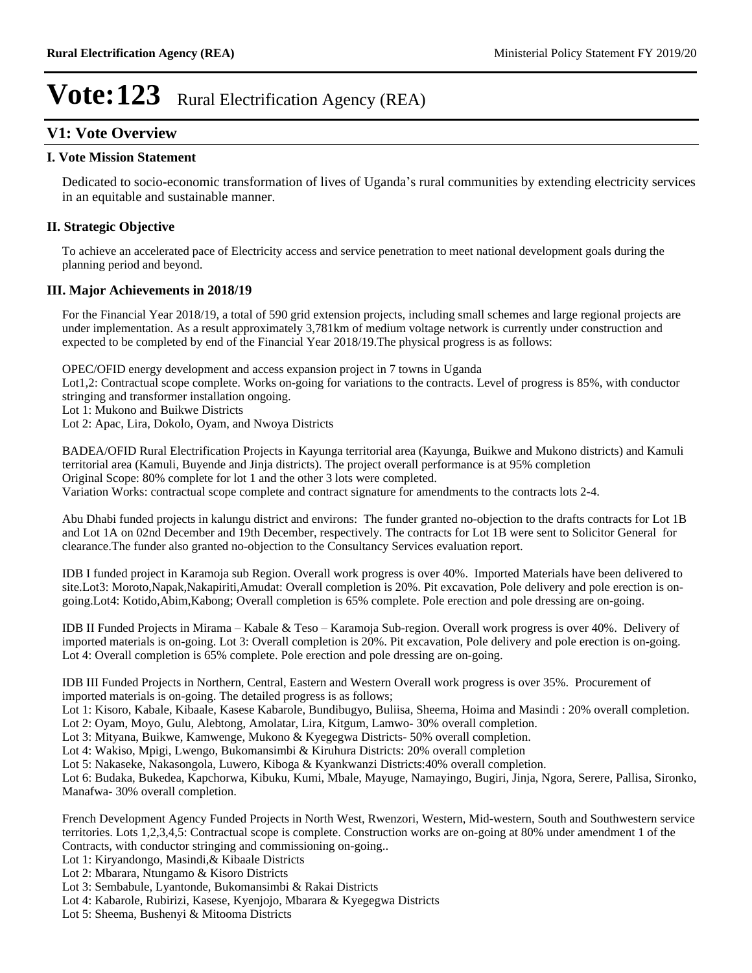### **V1: Vote Overview**

### **I. Vote Mission Statement**

Dedicated to socio-economic transformation of lives of Uganda's rural communities by extending electricity services in an equitable and sustainable manner.

### **II. Strategic Objective**

To achieve an accelerated pace of Electricity access and service penetration to meet national development goals during the planning period and beyond.

### **III. Major Achievements in 2018/19**

For the Financial Year 2018/19, a total of 590 grid extension projects, including small schemes and large regional projects are under implementation. As a result approximately 3,781km of medium voltage network is currently under construction and expected to be completed by end of the Financial Year 2018/19.The physical progress is as follows:

OPEC/OFID energy development and access expansion project in 7 towns in Uganda

Lot1,2: Contractual scope complete. Works on-going for variations to the contracts. Level of progress is 85%, with conductor stringing and transformer installation ongoing.

Lot 1: Mukono and Buikwe Districts

Lot 2: Apac, Lira, Dokolo, Oyam, and Nwoya Districts

BADEA/OFID Rural Electrification Projects in Kayunga territorial area (Kayunga, Buikwe and Mukono districts) and Kamuli territorial area (Kamuli, Buyende and Jinja districts). The project overall performance is at 95% completion Original Scope: 80% complete for lot 1 and the other 3 lots were completed. Variation Works: contractual scope complete and contract signature for amendments to the contracts lots 2-4.

Abu Dhabi funded projects in kalungu district and environs: The funder granted no-objection to the drafts contracts for Lot 1B and Lot 1A on 02nd December and 19th December, respectively. The contracts for Lot 1B were sent to Solicitor General for clearance.The funder also granted no-objection to the Consultancy Services evaluation report.

IDB I funded project in Karamoja sub Region. Overall work progress is over 40%. Imported Materials have been delivered to site.Lot3: Moroto,Napak,Nakapiriti,Amudat: Overall completion is 20%. Pit excavation, Pole delivery and pole erection is ongoing.Lot4: Kotido,Abim,Kabong; Overall completion is 65% complete. Pole erection and pole dressing are on-going.

IDB II Funded Projects in Mirama – Kabale & Teso – Karamoja Sub-region. Overall work progress is over 40%. Delivery of imported materials is on-going. Lot 3: Overall completion is 20%. Pit excavation, Pole delivery and pole erection is on-going. Lot 4: Overall completion is 65% complete. Pole erection and pole dressing are on-going.

IDB III Funded Projects in Northern, Central, Eastern and Western Overall work progress is over 35%. Procurement of imported materials is on-going. The detailed progress is as follows;

Lot 1: Kisoro, Kabale, Kibaale, Kasese Kabarole, Bundibugyo, Buliisa, Sheema, Hoima and Masindi : 20% overall completion. Lot 2: Oyam, Moyo, Gulu, Alebtong, Amolatar, Lira, Kitgum, Lamwo- 30% overall completion.

Lot 3: Mityana, Buikwe, Kamwenge, Mukono & Kyegegwa Districts- 50% overall completion.

Lot 4: Wakiso, Mpigi, Lwengo, Bukomansimbi & Kiruhura Districts: 20% overall completion

Lot 5: Nakaseke, Nakasongola, Luwero, Kiboga & Kyankwanzi Districts:40% overall completion.

Lot 6: Budaka, Bukedea, Kapchorwa, Kibuku, Kumi, Mbale, Mayuge, Namayingo, Bugiri, Jinja, Ngora, Serere, Pallisa, Sironko, Manafwa- 30% overall completion.

French Development Agency Funded Projects in North West, Rwenzori, Western, Mid-western, South and Southwestern service territories. Lots 1,2,3,4,5: Contractual scope is complete. Construction works are on-going at 80% under amendment 1 of the Contracts, with conductor stringing and commissioning on-going..

Lot 1: Kiryandongo, Masindi,& Kibaale Districts

Lot 2: Mbarara, Ntungamo & Kisoro Districts

Lot 3: Sembabule, Lyantonde, Bukomansimbi & Rakai Districts

Lot 4: Kabarole, Rubirizi, Kasese, Kyenjojo, Mbarara & Kyegegwa Districts

Lot 5: Sheema, Bushenyi & Mitooma Districts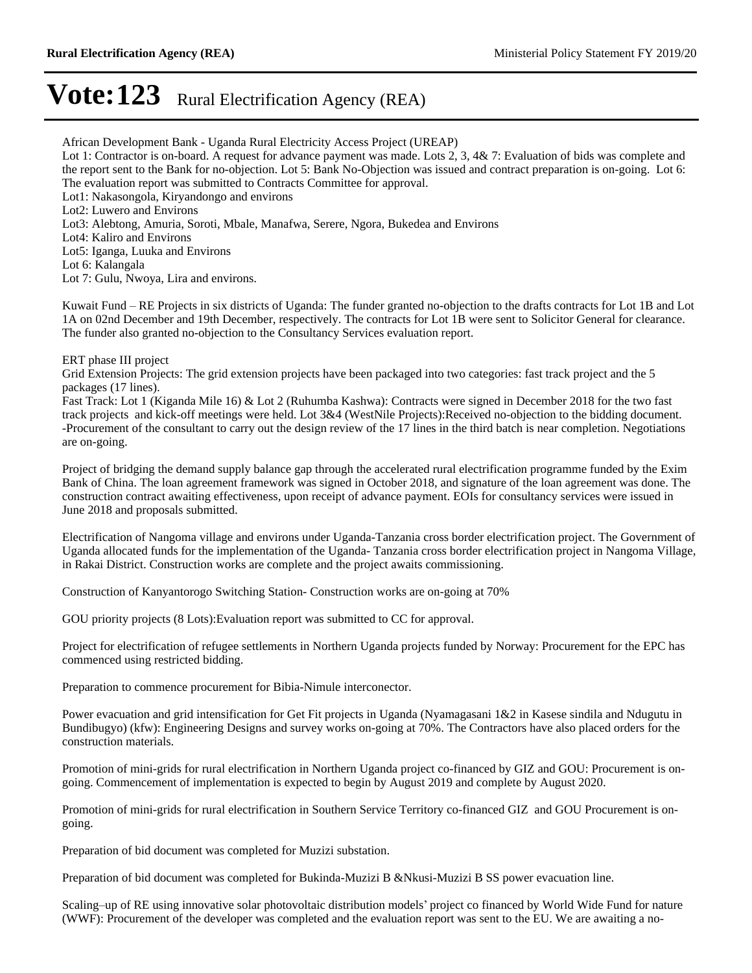African Development Bank - Uganda Rural Electricity Access Project (UREAP) Lot 1: Contractor is on-board. A request for advance payment was made. Lots 2, 3, 4& 7: Evaluation of bids was complete and the report sent to the Bank for no-objection. Lot 5: Bank No-Objection was issued and contract preparation is on-going. Lot 6: The evaluation report was submitted to Contracts Committee for approval. Lot1: Nakasongola, Kiryandongo and environs Lot2: Luwero and Environs Lot3: Alebtong, Amuria, Soroti, Mbale, Manafwa, Serere, Ngora, Bukedea and Environs Lot4: Kaliro and Environs Lot5: Iganga, Luuka and Environs Lot 6: Kalangala Lot 7: Gulu, Nwoya, Lira and environs.

Kuwait Fund – RE Projects in six districts of Uganda: The funder granted no-objection to the drafts contracts for Lot 1B and Lot 1A on 02nd December and 19th December, respectively. The contracts for Lot 1B were sent to Solicitor General for clearance. The funder also granted no-objection to the Consultancy Services evaluation report.

ERT phase III project

Grid Extension Projects: The grid extension projects have been packaged into two categories: fast track project and the 5 packages (17 lines).

Fast Track: Lot 1 (Kiganda Mile 16) & Lot 2 (Ruhumba Kashwa): Contracts were signed in December 2018 for the two fast track projects and kick-off meetings were held. Lot 3&4 (WestNile Projects):Received no-objection to the bidding document. -Procurement of the consultant to carry out the design review of the 17 lines in the third batch is near completion. Negotiations are on-going.

Project of bridging the demand supply balance gap through the accelerated rural electrification programme funded by the Exim Bank of China. The loan agreement framework was signed in October 2018, and signature of the loan agreement was done. The construction contract awaiting effectiveness, upon receipt of advance payment. EOIs for consultancy services were issued in June 2018 and proposals submitted.

Electrification of Nangoma village and environs under Uganda-Tanzania cross border electrification project. The Government of Uganda allocated funds for the implementation of the Uganda- Tanzania cross border electrification project in Nangoma Village, in Rakai District. Construction works are complete and the project awaits commissioning.

Construction of Kanyantorogo Switching Station- Construction works are on-going at 70%

GOU priority projects (8 Lots):Evaluation report was submitted to CC for approval.

Project for electrification of refugee settlements in Northern Uganda projects funded by Norway: Procurement for the EPC has commenced using restricted bidding.

Preparation to commence procurement for Bibia-Nimule interconector.

Power evacuation and grid intensification for Get Fit projects in Uganda (Nyamagasani 1&2 in Kasese sindila and Ndugutu in Bundibugyo) (kfw): Engineering Designs and survey works on-going at 70%. The Contractors have also placed orders for the construction materials.

Promotion of mini-grids for rural electrification in Northern Uganda project co-financed by GIZ and GOU: Procurement is ongoing. Commencement of implementation is expected to begin by August 2019 and complete by August 2020.

Promotion of mini-grids for rural electrification in Southern Service Territory co-financed GIZ and GOU Procurement is ongoing.

Preparation of bid document was completed for Muzizi substation.

Preparation of bid document was completed for Bukinda-Muzizi B &Nkusi-Muzizi B SS power evacuation line.

Scaling-up of RE using innovative solar photovoltaic distribution models' project co financed by World Wide Fund for nature (WWF): Procurement of the developer was completed and the evaluation report was sent to the EU. We are awaiting a no-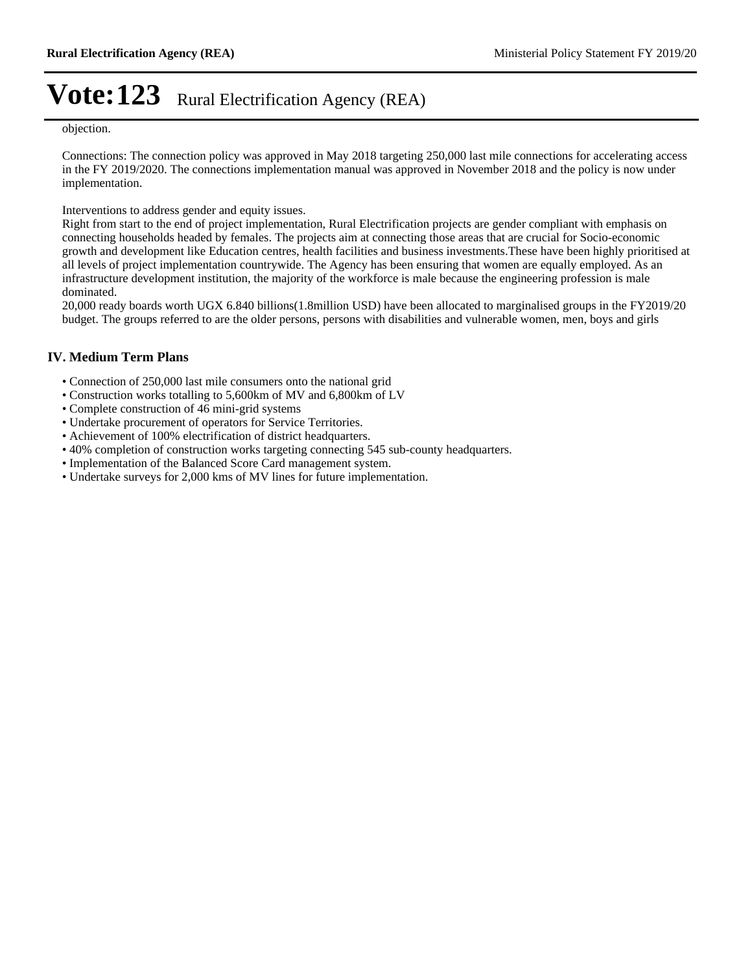objection.

Connections: The connection policy was approved in May 2018 targeting 250,000 last mile connections for accelerating access in the FY 2019/2020. The connections implementation manual was approved in November 2018 and the policy is now under implementation.

Interventions to address gender and equity issues.

Right from start to the end of project implementation, Rural Electrification projects are gender compliant with emphasis on connecting households headed by females. The projects aim at connecting those areas that are crucial for Socio-economic growth and development like Education centres, health facilities and business investments.These have been highly prioritised at all levels of project implementation countrywide. The Agency has been ensuring that women are equally employed. As an infrastructure development institution, the majority of the workforce is male because the engineering profession is male dominated.

20,000 ready boards worth UGX 6.840 billions(1.8million USD) have been allocated to marginalised groups in the FY2019/20 budget. The groups referred to are the older persons, persons with disabilities and vulnerable women, men, boys and girls

### **IV. Medium Term Plans**

- Connection of 250,000 last mile consumers onto the national grid
- Construction works totalling to 5,600km of MV and 6,800km of LV
- Complete construction of 46 mini-grid systems
- Undertake procurement of operators for Service Territories.
- Achievement of 100% electrification of district headquarters.
- 40% completion of construction works targeting connecting 545 sub-county headquarters.
- Implementation of the Balanced Score Card management system.
- Undertake surveys for 2,000 kms of MV lines for future implementation.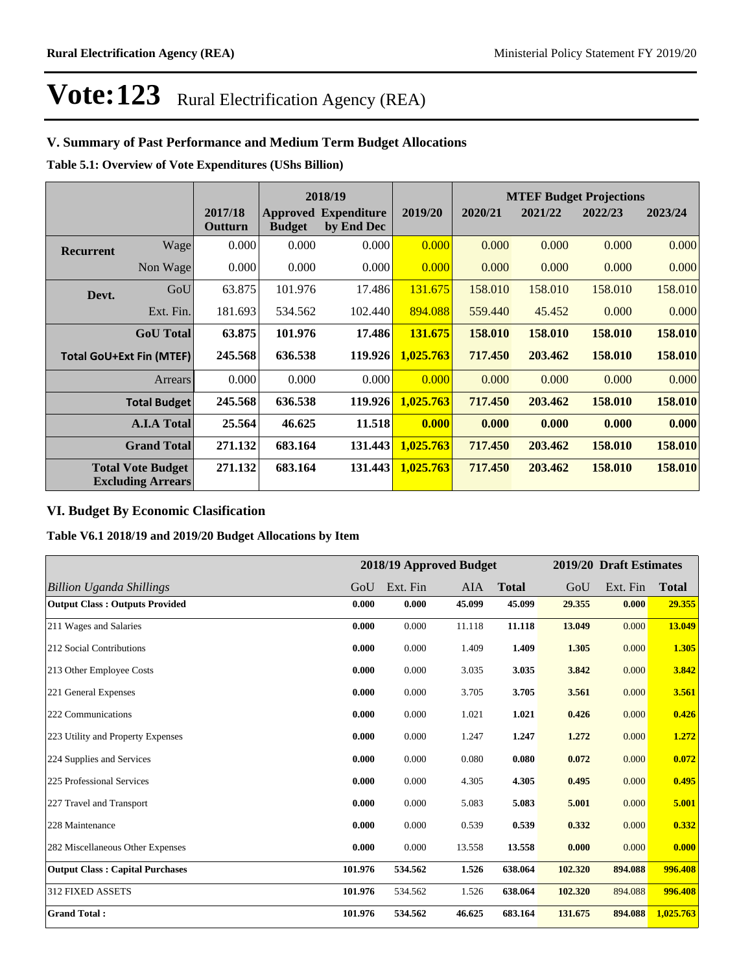### **V. Summary of Past Performance and Medium Term Budget Allocations**

**Table 5.1: Overview of Vote Expenditures (UShs Billion)**

|                  |                                                      |                    |               | 2018/19                                   |           |         |         | <b>MTEF Budget Projections</b> |         |
|------------------|------------------------------------------------------|--------------------|---------------|-------------------------------------------|-----------|---------|---------|--------------------------------|---------|
|                  |                                                      | 2017/18<br>Outturn | <b>Budget</b> | <b>Approved Expenditure</b><br>by End Dec | 2019/20   | 2020/21 | 2021/22 | 2022/23                        | 2023/24 |
| <b>Recurrent</b> | Wage                                                 | 0.000              | 0.000         | 0.000                                     | 0.000     | 0.000   | 0.000   | 0.000                          | 0.000   |
|                  | Non Wage                                             | 0.000              | 0.000         | 0.000                                     | 0.000     | 0.000   | 0.000   | 0.000                          | 0.000   |
| Devt.            | GoU                                                  | 63.875             | 101.976       | 17.486                                    | 131.675   | 158.010 | 158.010 | 158.010                        | 158.010 |
|                  | Ext. Fin.                                            | 181.693            | 534.562       | 102.440                                   | 894.088   | 559.440 | 45.452  | 0.000                          | 0.000   |
|                  | <b>GoU</b> Total                                     | 63.875             | 101.976       | 17.486                                    | 131.675   | 158.010 | 158.010 | 158.010                        | 158.010 |
|                  | <b>Total GoU+Ext Fin (MTEF)</b>                      | 245.568            | 636.538       | 119.926                                   | 1,025.763 | 717.450 | 203.462 | 158.010                        | 158.010 |
|                  | Arrears                                              | 0.000              | 0.000         | 0.000                                     | 0.000     | 0.000   | 0.000   | 0.000                          | 0.000   |
|                  | Total Budget                                         | 245.568            | 636.538       | 119.926                                   | 1,025.763 | 717.450 | 203.462 | 158.010                        | 158.010 |
|                  | <b>A.I.A Total</b>                                   | 25.564             | 46.625        | 11.518                                    | 0.000     | 0.000   | 0.000   | 0.000                          | 0.000   |
|                  | <b>Grand Total</b>                                   | 271.132            | 683.164       | 131.443                                   | 1,025.763 | 717.450 | 203.462 | 158.010                        | 158.010 |
|                  | <b>Total Vote Budget</b><br><b>Excluding Arrears</b> | 271.132            | 683.164       | 131.443                                   | 1,025.763 | 717.450 | 203.462 | 158.010                        | 158.010 |

### **VI. Budget By Economic Clasification**

**Table V6.1 2018/19 and 2019/20 Budget Allocations by Item**

|                                        |         |          | 2018/19 Approved Budget |              |         | 2019/20 Draft Estimates |              |
|----------------------------------------|---------|----------|-------------------------|--------------|---------|-------------------------|--------------|
| <b>Billion Uganda Shillings</b>        | GoU     | Ext. Fin | AIA                     | <b>Total</b> | GoU     | Ext. Fin                | <b>Total</b> |
| <b>Output Class: Outputs Provided</b>  | 0.000   | 0.000    | 45.099                  | 45.099       | 29.355  | 0.000                   | 29.355       |
| 211 Wages and Salaries                 | 0.000   | 0.000    | 11.118                  | 11.118       | 13.049  | 0.000                   | 13.049       |
| 212 Social Contributions               | 0.000   | 0.000    | 1.409                   | 1.409        | 1.305   | 0.000                   | 1.305        |
| 213 Other Employee Costs               | 0.000   | 0.000    | 3.035                   | 3.035        | 3.842   | 0.000                   | 3.842        |
| 221 General Expenses                   | 0.000   | 0.000    | 3.705                   | 3.705        | 3.561   | 0.000                   | 3.561        |
| 222 Communications                     | 0.000   | 0.000    | 1.021                   | 1.021        | 0.426   | 0.000                   | 0.426        |
| 223 Utility and Property Expenses      | 0.000   | 0.000    | 1.247                   | 1.247        | 1.272   | 0.000                   | 1.272        |
| 224 Supplies and Services              | 0.000   | 0.000    | 0.080                   | 0.080        | 0.072   | 0.000                   | 0.072        |
| 225 Professional Services              | 0.000   | 0.000    | 4.305                   | 4.305        | 0.495   | 0.000                   | 0.495        |
| 227 Travel and Transport               | 0.000   | 0.000    | 5.083                   | 5.083        | 5.001   | 0.000                   | 5.001        |
| 228 Maintenance                        | 0.000   | 0.000    | 0.539                   | 0.539        | 0.332   | 0.000                   | 0.332        |
| 282 Miscellaneous Other Expenses       | 0.000   | 0.000    | 13.558                  | 13.558       | 0.000   | 0.000                   | 0.000        |
| <b>Output Class: Capital Purchases</b> | 101.976 | 534.562  | 1.526                   | 638.064      | 102.320 | 894.088                 | 996.408      |
| 312 FIXED ASSETS                       | 101.976 | 534.562  | 1.526                   | 638.064      | 102.320 | 894.088                 | 996.408      |
| <b>Grand Total:</b>                    | 101.976 | 534.562  | 46.625                  | 683.164      | 131.675 | 894.088                 | 1,025.763    |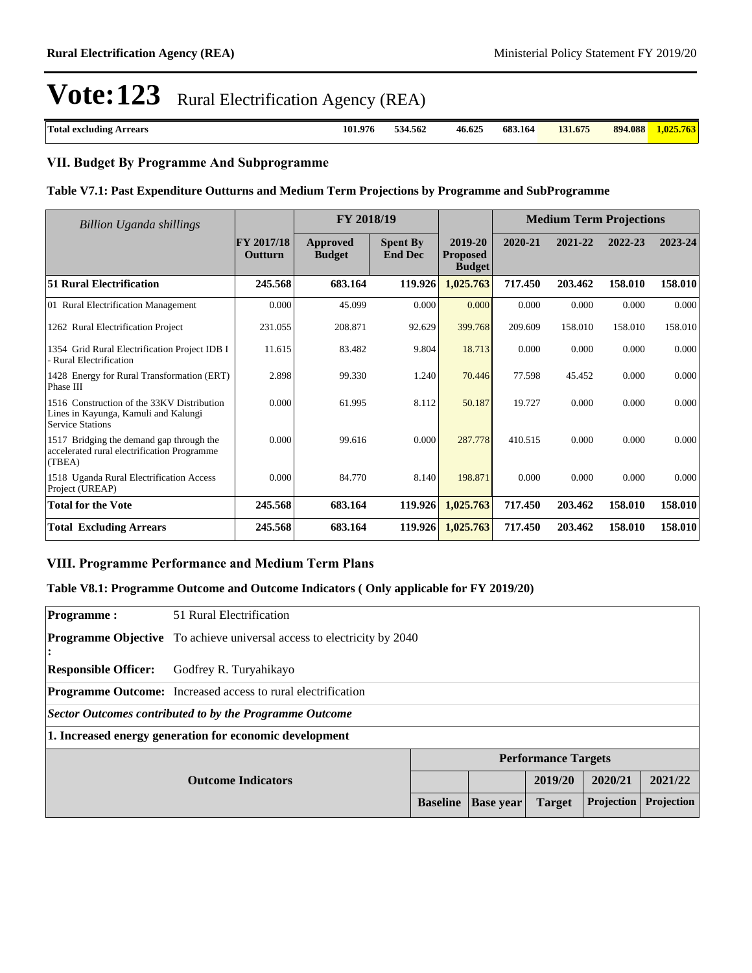| Total<br><b>Arrears</b><br>excluding<br>. | 101.976 | 334.562<br>. | 46.625<br>. | 683.164<br>. | 131.675<br>13<br>. | 4.088<br>894<br>. | .025<br>. |
|-------------------------------------------|---------|--------------|-------------|--------------|--------------------|-------------------|-----------|
|                                           |         |              |             |              |                    |                   |           |

### **VII. Budget By Programme And Subprogramme**

#### **Table V7.1: Past Expenditure Outturns and Medium Term Projections by Programme and SubProgramme**

| Billion Uganda shillings                                                                                      | FY 2018/19            |                                  |                                   | <b>Medium Term Projections</b>              |         |         |         |         |
|---------------------------------------------------------------------------------------------------------------|-----------------------|----------------------------------|-----------------------------------|---------------------------------------------|---------|---------|---------|---------|
|                                                                                                               | FY 2017/18<br>Outturn | <b>Approved</b><br><b>Budget</b> | <b>Spent By</b><br><b>End Dec</b> | 2019-20<br><b>Proposed</b><br><b>Budget</b> | 2020-21 | 2021-22 | 2022-23 | 2023-24 |
| <b>51 Rural Electrification</b>                                                                               | 245.568               | 683.164                          | 119.926                           | 1,025.763                                   | 717.450 | 203.462 | 158.010 | 158.010 |
| 01 Rural Electrification Management                                                                           | 0.000                 | 45.099                           | 0.000                             | 0.000                                       | 0.000   | 0.000   | 0.000   | 0.000   |
| 1262 Rural Electrification Project                                                                            | 231.055               | 208.871                          | 92.629                            | 399.768                                     | 209.609 | 158.010 | 158.010 | 158.010 |
| 1354 Grid Rural Electrification Project IDB I<br>- Rural Electrification                                      | 11.615                | 83.482                           | 9.804                             | 18.713                                      | 0.000   | 0.000   | 0.000   | 0.000   |
| 1428 Energy for Rural Transformation (ERT)<br>Phase III                                                       | 2.898                 | 99.330                           | 1.240                             | 70.446                                      | 77.598  | 45.452  | 0.000   | 0.000   |
| 1516 Construction of the 33KV Distribution<br>Lines in Kayunga, Kamuli and Kalungi<br><b>Service Stations</b> | 0.000                 | 61.995                           | 8.112                             | 50.187                                      | 19.727  | 0.000   | 0.000   | 0.000   |
| 1517 Bridging the demand gap through the<br>accelerated rural electrification Programme<br>(TBEA)             | 0.000                 | 99.616                           | 0.000                             | 287.778                                     | 410.515 | 0.000   | 0.000   | 0.000   |
| 1518 Uganda Rural Electrification Access<br>Project (UREAP)                                                   | 0.000                 | 84.770                           | 8.140                             | 198.871                                     | 0.000   | 0.000   | 0.000   | 0.000   |
| <b>Total for the Vote</b>                                                                                     | 245.568               | 683.164                          | 119.926                           | 1,025.763                                   | 717.450 | 203.462 | 158.010 | 158.010 |
| <b>Total Excluding Arrears</b>                                                                                | 245.568               | 683.164                          | 119.926                           | 1,025.763                                   | 717.450 | 203.462 | 158.010 | 158.010 |

### **VIII. Programme Performance and Medium Term Plans**

### **Table V8.1: Programme Outcome and Outcome Indicators ( Only applicable for FY 2019/20)**

| <b>Programme:</b>           | 51 Rural Electrification                                                      |                 |                  |                            |            |            |  |
|-----------------------------|-------------------------------------------------------------------------------|-----------------|------------------|----------------------------|------------|------------|--|
| ı:                          | <b>Programme Objective</b> To achieve universal access to electricity by 2040 |                 |                  |                            |            |            |  |
| <b>Responsible Officer:</b> | Godfrey R. Turyahikayo                                                        |                 |                  |                            |            |            |  |
|                             | <b>Programme Outcome:</b> Increased access to rural electrification           |                 |                  |                            |            |            |  |
|                             | Sector Outcomes contributed to by the Programme Outcome                       |                 |                  |                            |            |            |  |
|                             | 1. Increased energy generation for economic development                       |                 |                  |                            |            |            |  |
|                             |                                                                               |                 |                  | <b>Performance Targets</b> |            |            |  |
|                             | <b>Outcome Indicators</b>                                                     |                 |                  | 2019/20                    | 2020/21    | 2021/22    |  |
|                             |                                                                               | <b>Baseline</b> | <b>Base year</b> | <b>Target</b>              | Projection | Projection |  |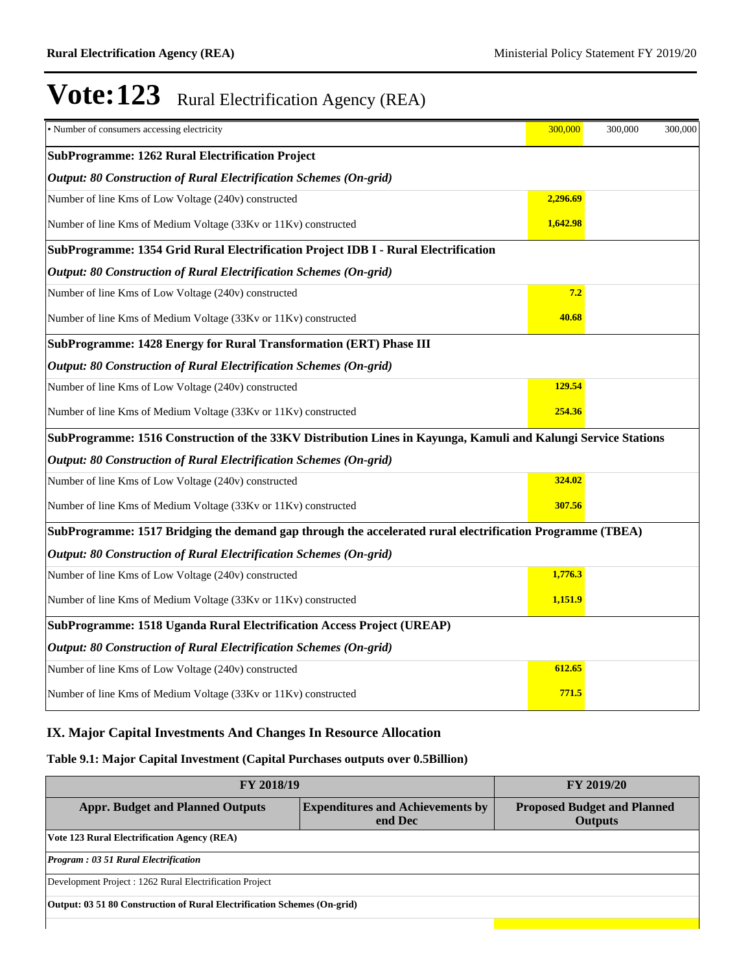| • Number of consumers accessing electricity                                                                    | 300,000  | 300,000 | 300,000 |
|----------------------------------------------------------------------------------------------------------------|----------|---------|---------|
| <b>SubProgramme: 1262 Rural Electrification Project</b>                                                        |          |         |         |
| Output: 80 Construction of Rural Electrification Schemes (On-grid)                                             |          |         |         |
| Number of line Kms of Low Voltage (240v) constructed                                                           | 2,296.69 |         |         |
| Number of line Kms of Medium Voltage (33Kv or 11Kv) constructed                                                | 1,642.98 |         |         |
| SubProgramme: 1354 Grid Rural Electrification Project IDB I - Rural Electrification                            |          |         |         |
| <b>Output: 80 Construction of Rural Electrification Schemes (On-grid)</b>                                      |          |         |         |
| Number of line Kms of Low Voltage (240v) constructed                                                           | 7.2      |         |         |
| Number of line Kms of Medium Voltage (33Kv or 11Kv) constructed                                                | 40.68    |         |         |
| SubProgramme: 1428 Energy for Rural Transformation (ERT) Phase III                                             |          |         |         |
| <b>Output: 80 Construction of Rural Electrification Schemes (On-grid)</b>                                      |          |         |         |
| Number of line Kms of Low Voltage (240v) constructed                                                           | 129.54   |         |         |
| Number of line Kms of Medium Voltage (33Kv or 11Kv) constructed                                                | 254.36   |         |         |
| SubProgramme: 1516 Construction of the 33KV Distribution Lines in Kayunga, Kamuli and Kalungi Service Stations |          |         |         |
| <b>Output: 80 Construction of Rural Electrification Schemes (On-grid)</b>                                      |          |         |         |
| Number of line Kms of Low Voltage (240v) constructed                                                           | 324.02   |         |         |
| Number of line Kms of Medium Voltage (33Kv or 11Kv) constructed                                                | 307.56   |         |         |
| SubProgramme: 1517 Bridging the demand gap through the accelerated rural electrification Programme (TBEA)      |          |         |         |
| <b>Output: 80 Construction of Rural Electrification Schemes (On-grid)</b>                                      |          |         |         |
| Number of line Kms of Low Voltage (240v) constructed                                                           | 1,776.3  |         |         |
| Number of line Kms of Medium Voltage (33Kv or 11Kv) constructed                                                | 1,151.9  |         |         |
| SubProgramme: 1518 Uganda Rural Electrification Access Project (UREAP)                                         |          |         |         |
| <b>Output: 80 Construction of Rural Electrification Schemes (On-grid)</b>                                      |          |         |         |
| Number of line Kms of Low Voltage (240v) constructed                                                           | 612.65   |         |         |
| Number of line Kms of Medium Voltage (33Kv or 11Kv) constructed                                                | 771.5    |         |         |

### **IX. Major Capital Investments And Changes In Resource Allocation**

### **Table 9.1: Major Capital Investment (Capital Purchases outputs over 0.5Billion)**

| <b>FY 2018/19</b>                                                        | <b>FY 2019/20</b>                                    |  |  |  |  |  |
|--------------------------------------------------------------------------|------------------------------------------------------|--|--|--|--|--|
| <b>Appr. Budget and Planned Outputs</b>                                  | <b>Proposed Budget and Planned</b><br><b>Outputs</b> |  |  |  |  |  |
| <b>Vote 123 Rural Electrification Agency (REA)</b>                       |                                                      |  |  |  |  |  |
| <b>Program: 03 51 Rural Electrification</b>                              |                                                      |  |  |  |  |  |
| Development Project : 1262 Rural Electrification Project                 |                                                      |  |  |  |  |  |
| Output: 03 51 80 Construction of Rural Electrification Schemes (On-grid) |                                                      |  |  |  |  |  |
|                                                                          |                                                      |  |  |  |  |  |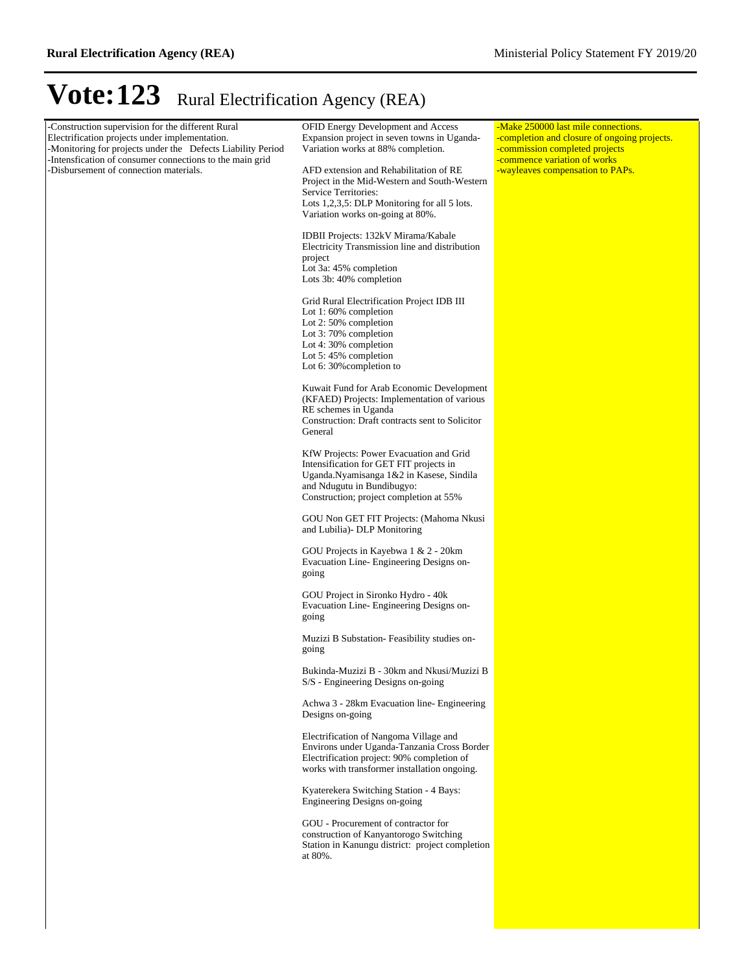| -Construction supervision for the different Rural<br>Electrification projects under implementation.<br>-Monitoring for projects under the Defects Liability Period<br>-Intensfication of consumer connections to the main grid<br>-Disbursement of connection materials. | <b>OFID Energy Development and Access</b><br>Expansion project in seven towns in Uganda-<br>Variation works at 88% completion.<br>AFD extension and Rehabilitation of RE<br>Project in the Mid-Western and South-Western<br>Service Territories:<br>Lots 1,2,3,5: DLP Monitoring for all 5 lots.<br>Variation works on-going at 80%.<br>IDBII Projects: 132kV Mirama/Kabale<br>Electricity Transmission line and distribution<br>project | -Make 250000 last mile connections.<br>-completion and closure of ongoing projects.<br>-commission completed projects<br>-commence variation of works<br>-wayleaves compensation to PAPs. |
|--------------------------------------------------------------------------------------------------------------------------------------------------------------------------------------------------------------------------------------------------------------------------|------------------------------------------------------------------------------------------------------------------------------------------------------------------------------------------------------------------------------------------------------------------------------------------------------------------------------------------------------------------------------------------------------------------------------------------|-------------------------------------------------------------------------------------------------------------------------------------------------------------------------------------------|
|                                                                                                                                                                                                                                                                          | Lot 3a: 45% completion<br>Lots 3b: 40% completion<br>Grid Rural Electrification Project IDB III<br>Lot 1:60% completion<br>Lot 2: $50\%$ completion<br>Lot $3:70\%$ completion<br>Lot 4: $30\%$ completion<br>Lot $5:45\%$ completion                                                                                                                                                                                                    |                                                                                                                                                                                           |
|                                                                                                                                                                                                                                                                          | Lot 6: $30\%$ completion to<br>Kuwait Fund for Arab Economic Development<br>(KFAED) Projects: Implementation of various<br>RE schemes in Uganda<br>Construction: Draft contracts sent to Solicitor<br>General                                                                                                                                                                                                                            |                                                                                                                                                                                           |
|                                                                                                                                                                                                                                                                          | KfW Projects: Power Evacuation and Grid<br>Intensification for GET FIT projects in<br>Uganda.Nyamisanga 1&2 in Kasese, Sindila<br>and Ndugutu in Bundibugyo:<br>Construction; project completion at 55%<br>GOU Non GET FIT Projects: (Mahoma Nkusi                                                                                                                                                                                       |                                                                                                                                                                                           |
|                                                                                                                                                                                                                                                                          | and Lubilia) - DLP Monitoring<br>GOU Projects in Kayebwa 1 & 2 - 20km<br>Evacuation Line- Engineering Designs on-<br>going<br>GOU Project in Sironko Hydro - 40k                                                                                                                                                                                                                                                                         |                                                                                                                                                                                           |
|                                                                                                                                                                                                                                                                          | Evacuation Line- Engineering Designs on-<br>going<br>Muzizi B Substation- Feasibility studies on-<br>going                                                                                                                                                                                                                                                                                                                               |                                                                                                                                                                                           |
|                                                                                                                                                                                                                                                                          | Bukinda-Muzizi B - 30km and Nkusi/Muzizi B<br>S/S - Engineering Designs on-going                                                                                                                                                                                                                                                                                                                                                         |                                                                                                                                                                                           |
|                                                                                                                                                                                                                                                                          | Achwa 3 - 28km Evacuation line-Engineering<br>Designs on-going<br>Electrification of Nangoma Village and                                                                                                                                                                                                                                                                                                                                 |                                                                                                                                                                                           |
|                                                                                                                                                                                                                                                                          | Environs under Uganda-Tanzania Cross Border<br>Electrification project: 90% completion of<br>works with transformer installation ongoing.<br>Kyaterekera Switching Station - 4 Bays:                                                                                                                                                                                                                                                     |                                                                                                                                                                                           |
|                                                                                                                                                                                                                                                                          | Engineering Designs on-going<br>GOU - Procurement of contractor for<br>construction of Kanyantorogo Switching<br>Station in Kanungu district: project completion<br>at 80%.                                                                                                                                                                                                                                                              |                                                                                                                                                                                           |
|                                                                                                                                                                                                                                                                          |                                                                                                                                                                                                                                                                                                                                                                                                                                          |                                                                                                                                                                                           |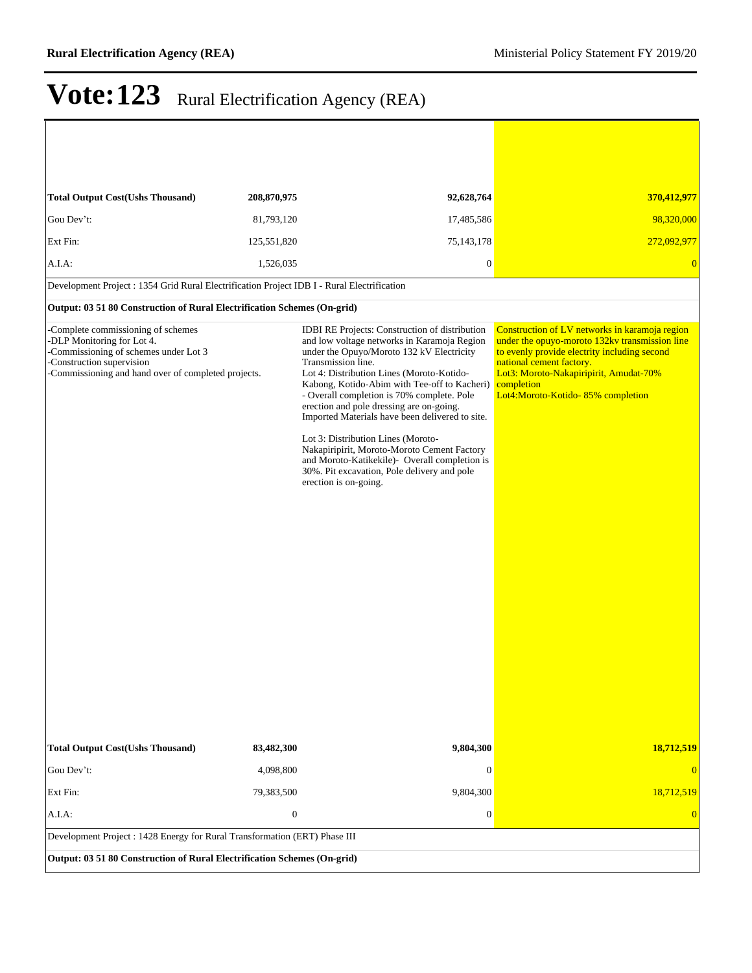| <b>Total Output Cost(Ushs Thousand)</b>                                                                                                                                                       | 208,870,975      | 92,628,764                                                                                                                                                                                                                                                                                                                                                                                                                                                                                                                                                                                                               | 370,412,977                                                                                                                                                                                                                                                               |
|-----------------------------------------------------------------------------------------------------------------------------------------------------------------------------------------------|------------------|--------------------------------------------------------------------------------------------------------------------------------------------------------------------------------------------------------------------------------------------------------------------------------------------------------------------------------------------------------------------------------------------------------------------------------------------------------------------------------------------------------------------------------------------------------------------------------------------------------------------------|---------------------------------------------------------------------------------------------------------------------------------------------------------------------------------------------------------------------------------------------------------------------------|
| Gou Dev't:                                                                                                                                                                                    | 81,793,120       | 17,485,586                                                                                                                                                                                                                                                                                                                                                                                                                                                                                                                                                                                                               | 98,320,000                                                                                                                                                                                                                                                                |
| Ext Fin:                                                                                                                                                                                      | 125,551,820      | 75, 143, 178                                                                                                                                                                                                                                                                                                                                                                                                                                                                                                                                                                                                             | 272,092,977                                                                                                                                                                                                                                                               |
| $A.I.A$ :                                                                                                                                                                                     | 1,526,035        | $\boldsymbol{0}$                                                                                                                                                                                                                                                                                                                                                                                                                                                                                                                                                                                                         | $\Omega$                                                                                                                                                                                                                                                                  |
| Development Project : 1354 Grid Rural Electrification Project IDB I - Rural Electrification                                                                                                   |                  |                                                                                                                                                                                                                                                                                                                                                                                                                                                                                                                                                                                                                          |                                                                                                                                                                                                                                                                           |
| Output: 03 51 80 Construction of Rural Electrification Schemes (On-grid)                                                                                                                      |                  |                                                                                                                                                                                                                                                                                                                                                                                                                                                                                                                                                                                                                          |                                                                                                                                                                                                                                                                           |
| -Complete commissioning of schemes<br>-DLP Monitoring for Lot 4.<br>-Commissioning of schemes under Lot 3<br>-Construction supervision<br>-Commissioning and hand over of completed projects. |                  | IDBI RE Projects: Construction of distribution<br>and low voltage networks in Karamoja Region<br>under the Opuyo/Moroto 132 kV Electricity<br>Transmission line.<br>Lot 4: Distribution Lines (Moroto-Kotido-<br>Kabong, Kotido-Abim with Tee-off to Kacheri)<br>- Overall completion is 70% complete. Pole<br>erection and pole dressing are on-going.<br>Imported Materials have been delivered to site.<br>Lot 3: Distribution Lines (Moroto-<br>Nakapiripirit, Moroto-Moroto Cement Factory<br>and Moroto-Katikekile)- Overall completion is<br>30%. Pit excavation, Pole delivery and pole<br>erection is on-going. | Construction of LV networks in karamoja region<br>under the opuyo-moroto 132kv transmission line<br>to evenly provide electrity including second<br>national cement factory.<br>Lot3: Moroto-Nakapiripirit, Amudat-70%<br>completion<br>Lot4:Moroto-Kotido-85% completion |
| <b>Total Output Cost(Ushs Thousand)</b>                                                                                                                                                       | 83,482,300       | 9,804,300                                                                                                                                                                                                                                                                                                                                                                                                                                                                                                                                                                                                                | 18,712,519                                                                                                                                                                                                                                                                |
| Gou Dev't:                                                                                                                                                                                    | 4,098,800        | $\theta$                                                                                                                                                                                                                                                                                                                                                                                                                                                                                                                                                                                                                 |                                                                                                                                                                                                                                                                           |
| Ext Fin:                                                                                                                                                                                      | 79,383,500       | 9,804,300                                                                                                                                                                                                                                                                                                                                                                                                                                                                                                                                                                                                                | 18,712,519                                                                                                                                                                                                                                                                |
| A.I.A.                                                                                                                                                                                        | $\boldsymbol{0}$ | $\boldsymbol{0}$                                                                                                                                                                                                                                                                                                                                                                                                                                                                                                                                                                                                         | $\Omega$                                                                                                                                                                                                                                                                  |
| Development Project: 1428 Energy for Rural Transformation (ERT) Phase III                                                                                                                     |                  |                                                                                                                                                                                                                                                                                                                                                                                                                                                                                                                                                                                                                          |                                                                                                                                                                                                                                                                           |
| Output: 03 51 80 Construction of Rural Electrification Schemes (On-grid)                                                                                                                      |                  |                                                                                                                                                                                                                                                                                                                                                                                                                                                                                                                                                                                                                          |                                                                                                                                                                                                                                                                           |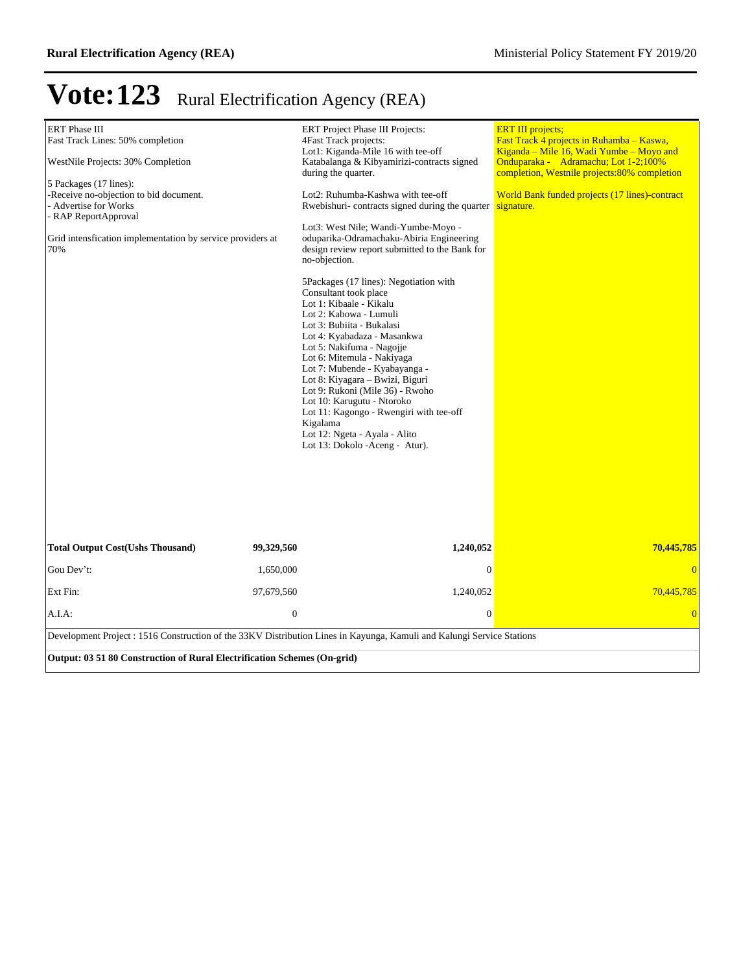| <b>ERT</b> Phase III<br>Fast Track Lines: 50% completion<br>WestNile Projects: 30% Completion<br>5 Packages (17 lines):<br>-Receive no-objection to bid document.<br>- Advertise for Works<br>- RAP ReportApproval<br>Grid intensfication implementation by service providers at<br>70% | <b>ERT</b> Project Phase III Projects:<br>4Fast Track projects:<br>Lot1: Kiganda-Mile 16 with tee-off<br>Katabalanga & Kibyamirizi-contracts signed<br>during the quarter.<br>Lot2: Ruhumba-Kashwa with tee-off<br>Rwebishuri-contracts signed during the quarter<br>Lot3: West Nile; Wandi-Yumbe-Moyo -<br>oduparika-Odramachaku-Abiria Engineering<br>design review report submitted to the Bank for<br>no-objection.<br>5Packages (17 lines): Negotiation with<br>Consultant took place<br>Lot 1: Kibaale - Kikalu<br>Lot 2: Kabowa - Lumuli<br>Lot 3: Bubiita - Bukalasi<br>Lot 4: Kyabadaza - Masankwa<br>Lot 5: Nakifuma - Nagojje<br>Lot 6: Mitemula - Nakiyaga<br>Lot 7: Mubende - Kyabayanga -<br>Lot 8: Kiyagara – Bwizi, Biguri<br>Lot 9: Rukoni (Mile 36) - Rwoho<br>Lot 10: Karugutu - Ntoroko<br>Lot 11: Kagongo - Rwengiri with tee-off<br>Kigalama<br>Lot 12: Ngeta - Ayala - Alito<br>Lot 13: Dokolo - Aceng - Atur). | <b>ERT III</b> projects;<br>Fast Track 4 projects in Ruhamba – Kaswa,<br>Kiganda – Mile 16, Wadi Yumbe – Moyo and<br>Onduparaka - Adramachu; Lot 1-2;100%<br>completion, Westnile projects:80% completion<br>World Bank funded projects (17 lines)-contract<br>signature. |  |  |  |  |
|-----------------------------------------------------------------------------------------------------------------------------------------------------------------------------------------------------------------------------------------------------------------------------------------|----------------------------------------------------------------------------------------------------------------------------------------------------------------------------------------------------------------------------------------------------------------------------------------------------------------------------------------------------------------------------------------------------------------------------------------------------------------------------------------------------------------------------------------------------------------------------------------------------------------------------------------------------------------------------------------------------------------------------------------------------------------------------------------------------------------------------------------------------------------------------------------------------------------------------------------|---------------------------------------------------------------------------------------------------------------------------------------------------------------------------------------------------------------------------------------------------------------------------|--|--|--|--|
| <b>Total Output Cost(Ushs Thousand)</b>                                                                                                                                                                                                                                                 | 99,329,560<br>1,240,052                                                                                                                                                                                                                                                                                                                                                                                                                                                                                                                                                                                                                                                                                                                                                                                                                                                                                                                | 70,445,785                                                                                                                                                                                                                                                                |  |  |  |  |
| Gou Dev't:                                                                                                                                                                                                                                                                              | 1,650,000<br>$\mathbf{0}$                                                                                                                                                                                                                                                                                                                                                                                                                                                                                                                                                                                                                                                                                                                                                                                                                                                                                                              | $\overline{0}$                                                                                                                                                                                                                                                            |  |  |  |  |
| Ext Fin:                                                                                                                                                                                                                                                                                | 1,240,052<br>97,679,560                                                                                                                                                                                                                                                                                                                                                                                                                                                                                                                                                                                                                                                                                                                                                                                                                                                                                                                | 70,445,785                                                                                                                                                                                                                                                                |  |  |  |  |
| A.I.A.                                                                                                                                                                                                                                                                                  | $\overline{0}$<br>$\mathbf{0}$                                                                                                                                                                                                                                                                                                                                                                                                                                                                                                                                                                                                                                                                                                                                                                                                                                                                                                         | $\overline{0}$                                                                                                                                                                                                                                                            |  |  |  |  |
| Development Project : 1516 Construction of the 33KV Distribution Lines in Kayunga, Kamuli and Kalungi Service Stations<br>Output: 03 51 80 Construction of Rural Electrification Schemes (On-grid)                                                                                      |                                                                                                                                                                                                                                                                                                                                                                                                                                                                                                                                                                                                                                                                                                                                                                                                                                                                                                                                        |                                                                                                                                                                                                                                                                           |  |  |  |  |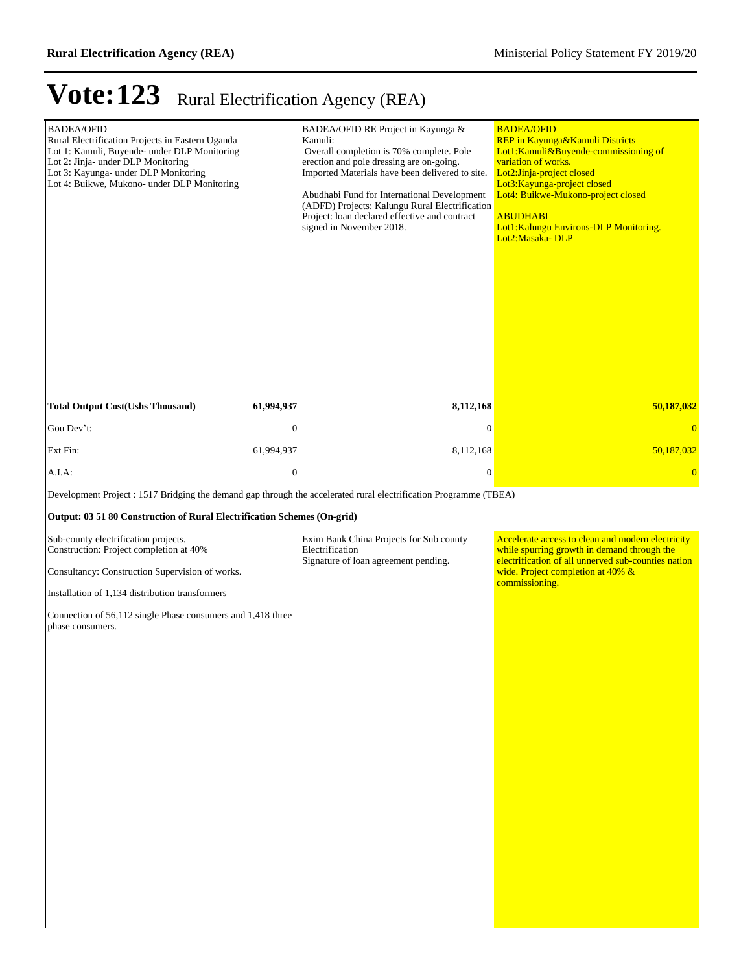| <b>BADEA/OFID</b><br>Rural Electrification Projects in Eastern Uganda<br>Lot 1: Kamuli, Buyende- under DLP Monitoring<br>Lot 2: Jinja- under DLP Monitoring<br>Lot 3: Kayunga- under DLP Monitoring<br>Lot 4: Buikwe, Mukono- under DLP Monitoring                       |                  | BADEA/OFID RE Project in Kayunga &<br>Kamuli:<br>Overall completion is 70% complete. Pole<br>erection and pole dressing are on-going.<br>Imported Materials have been delivered to site.<br>Abudhabi Fund for International Development<br>(ADFD) Projects: Kalungu Rural Electrification<br>Project: loan declared effective and contract<br>signed in November 2018. | <b>BADEA/OFID</b><br>REP in Kayunga&Kamuli Districts<br>Lot1:Kamuli&Buyende-commissioning of<br>variation of works.<br>Lot2:Jinja-project closed<br>Lot3: Kayunga-project closed<br>Lot4: Buikwe-Mukono-project closed<br><b>ABUDHABI</b><br>Lot1:Kalungu Environs-DLP Monitoring.<br>Lot2:Masaka-DLP |
|--------------------------------------------------------------------------------------------------------------------------------------------------------------------------------------------------------------------------------------------------------------------------|------------------|------------------------------------------------------------------------------------------------------------------------------------------------------------------------------------------------------------------------------------------------------------------------------------------------------------------------------------------------------------------------|-------------------------------------------------------------------------------------------------------------------------------------------------------------------------------------------------------------------------------------------------------------------------------------------------------|
| <b>Total Output Cost(Ushs Thousand)</b>                                                                                                                                                                                                                                  | 61,994,937       | 8,112,168                                                                                                                                                                                                                                                                                                                                                              | 50,187,032                                                                                                                                                                                                                                                                                            |
| Gou Dev't:                                                                                                                                                                                                                                                               | $\boldsymbol{0}$ | $\boldsymbol{0}$                                                                                                                                                                                                                                                                                                                                                       | $\overline{0}$                                                                                                                                                                                                                                                                                        |
| Ext Fin:                                                                                                                                                                                                                                                                 | 61,994,937       | 8,112,168                                                                                                                                                                                                                                                                                                                                                              | 50,187,032                                                                                                                                                                                                                                                                                            |
| A.I.A.                                                                                                                                                                                                                                                                   | $\mathbf{0}$     | $\boldsymbol{0}$                                                                                                                                                                                                                                                                                                                                                       | $\overline{0}$                                                                                                                                                                                                                                                                                        |
| Development Project : 1517 Bridging the demand gap through the accelerated rural electrification Programme (TBEA)                                                                                                                                                        |                  |                                                                                                                                                                                                                                                                                                                                                                        |                                                                                                                                                                                                                                                                                                       |
| Output: 03 51 80 Construction of Rural Electrification Schemes (On-grid)                                                                                                                                                                                                 |                  |                                                                                                                                                                                                                                                                                                                                                                        |                                                                                                                                                                                                                                                                                                       |
| Sub-county electrification projects.<br>Construction: Project completion at 40%<br>Consultancy: Construction Supervision of works.<br>Installation of 1,134 distribution transformers<br>Connection of 56,112 single Phase consumers and 1,418 three<br>phase consumers. |                  | Exim Bank China Projects for Sub county<br>Electrification<br>Signature of loan agreement pending.                                                                                                                                                                                                                                                                     | Accelerate access to clean and modern electricity<br>while spurring growth in demand through the<br>electrification of all unnerved sub-counties nation<br>wide. Project completion at 40% &<br>commissioning.                                                                                        |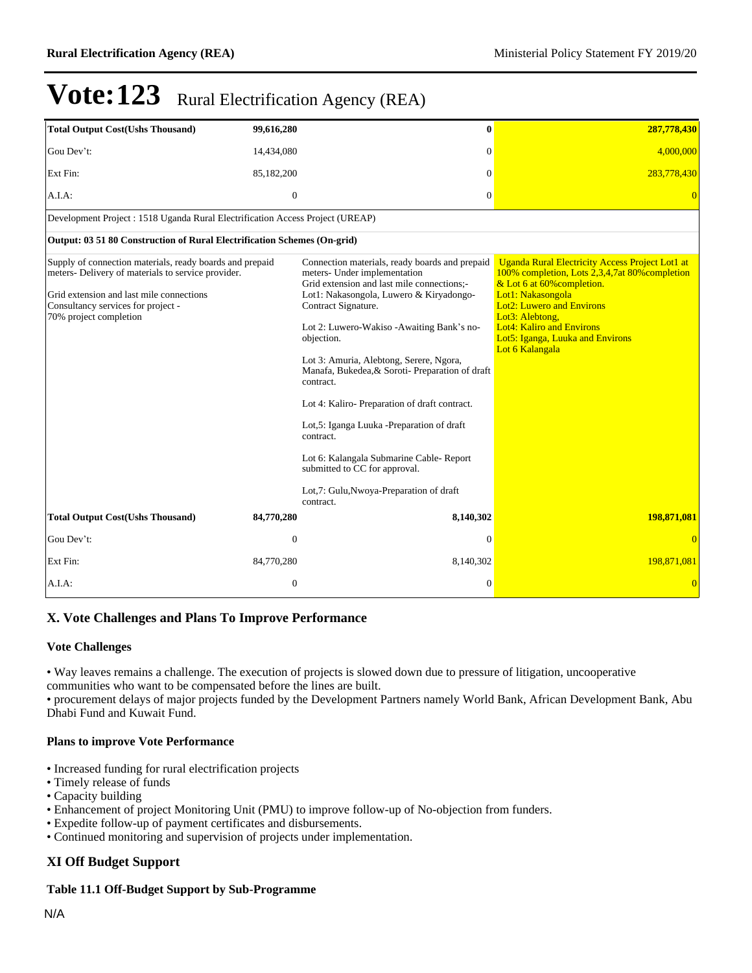| <b>Total Output Cost(Ushs Thousand)</b>                                                                                                                                                                                    | 99,616,280       | 0                                                                                                                                                                                                                                                                                                                                                                                                                                                                                                                                                                                                                  | 287,778,430                                                                                                                                                                                                                                                                                                   |
|----------------------------------------------------------------------------------------------------------------------------------------------------------------------------------------------------------------------------|------------------|--------------------------------------------------------------------------------------------------------------------------------------------------------------------------------------------------------------------------------------------------------------------------------------------------------------------------------------------------------------------------------------------------------------------------------------------------------------------------------------------------------------------------------------------------------------------------------------------------------------------|---------------------------------------------------------------------------------------------------------------------------------------------------------------------------------------------------------------------------------------------------------------------------------------------------------------|
| Gou Dev't:                                                                                                                                                                                                                 | 14,434,080       | $\theta$                                                                                                                                                                                                                                                                                                                                                                                                                                                                                                                                                                                                           | 4,000,000                                                                                                                                                                                                                                                                                                     |
| Ext Fin:                                                                                                                                                                                                                   | 85,182,200       | $\overline{0}$                                                                                                                                                                                                                                                                                                                                                                                                                                                                                                                                                                                                     | 283,778,430                                                                                                                                                                                                                                                                                                   |
| A.I.A.                                                                                                                                                                                                                     | $\mathbf{0}$     | $\overline{0}$                                                                                                                                                                                                                                                                                                                                                                                                                                                                                                                                                                                                     | $\overline{0}$                                                                                                                                                                                                                                                                                                |
| Development Project : 1518 Uganda Rural Electrification Access Project (UREAP)                                                                                                                                             |                  |                                                                                                                                                                                                                                                                                                                                                                                                                                                                                                                                                                                                                    |                                                                                                                                                                                                                                                                                                               |
| Output: 03 51 80 Construction of Rural Electrification Schemes (On-grid)                                                                                                                                                   |                  |                                                                                                                                                                                                                                                                                                                                                                                                                                                                                                                                                                                                                    |                                                                                                                                                                                                                                                                                                               |
| Supply of connection materials, ready boards and prepaid<br>meters- Delivery of materials to service provider.<br>Grid extension and last mile connections<br>Consultancy services for project -<br>70% project completion |                  | Connection materials, ready boards and prepaid<br>meters- Under implementation<br>Grid extension and last mile connections:-<br>Lot1: Nakasongola, Luwero & Kiryadongo-<br>Contract Signature.<br>Lot 2: Luwero-Wakiso -Awaiting Bank's no-<br>objection.<br>Lot 3: Amuria, Alebtong, Serere, Ngora,<br>Manafa, Bukedea, & Soroti- Preparation of draft<br>contract.<br>Lot 4: Kaliro-Preparation of draft contract.<br>Lot,5: Iganga Luuka -Preparation of draft<br>contract.<br>Lot 6: Kalangala Submarine Cable-Report<br>submitted to CC for approval.<br>Lot,7: Gulu, Nwoya-Preparation of draft<br>contract. | <b>Uganda Rural Electricity Access Project Lot1 at</b><br>100% completion, Lots 2,3,4,7at 80% completion<br>& Lot 6 at 60% completion.<br>Lot1: Nakasongola<br><b>Lot2: Luwero and Environs</b><br>Lot3: Alebtong,<br><b>Lot4: Kaliro and Environs</b><br>Lot5: Iganga, Luuka and Environs<br>Lot 6 Kalangala |
| <b>Total Output Cost(Ushs Thousand)</b>                                                                                                                                                                                    | 84,770,280       | 8,140,302                                                                                                                                                                                                                                                                                                                                                                                                                                                                                                                                                                                                          | 198,871,081                                                                                                                                                                                                                                                                                                   |
| Gou Dev't:                                                                                                                                                                                                                 | $\overline{0}$   | $\theta$                                                                                                                                                                                                                                                                                                                                                                                                                                                                                                                                                                                                           | $\Omega$                                                                                                                                                                                                                                                                                                      |
| Ext Fin:                                                                                                                                                                                                                   | 84,770,280       | 8,140,302                                                                                                                                                                                                                                                                                                                                                                                                                                                                                                                                                                                                          | 198,871,081                                                                                                                                                                                                                                                                                                   |
| A.I.A.                                                                                                                                                                                                                     | $\boldsymbol{0}$ | $\overline{0}$                                                                                                                                                                                                                                                                                                                                                                                                                                                                                                                                                                                                     | $\overline{0}$                                                                                                                                                                                                                                                                                                |

### **X. Vote Challenges and Plans To Improve Performance**

#### **Vote Challenges**

Way leaves remains a challenge. The execution of projects is slowed down due to pressure of litigation, uncooperative communities who want to be compensated before the lines are built.

procurement delays of major projects funded by the Development Partners namely World Bank, African Development Bank, Abu Dhabi Fund and Kuwait Fund.

#### **Plans to improve Vote Performance**

- Increased funding for rural electrification projects
- Timely release of funds
- Capacity building
- Enhancement of project Monitoring Unit (PMU) to improve follow-up of No-objection from funders.
- Expedite follow-up of payment certificates and disbursements.
- Continued monitoring and supervision of projects under implementation.

### **XI Off Budget Support**

#### **Table 11.1 Off-Budget Support by Sub-Programme**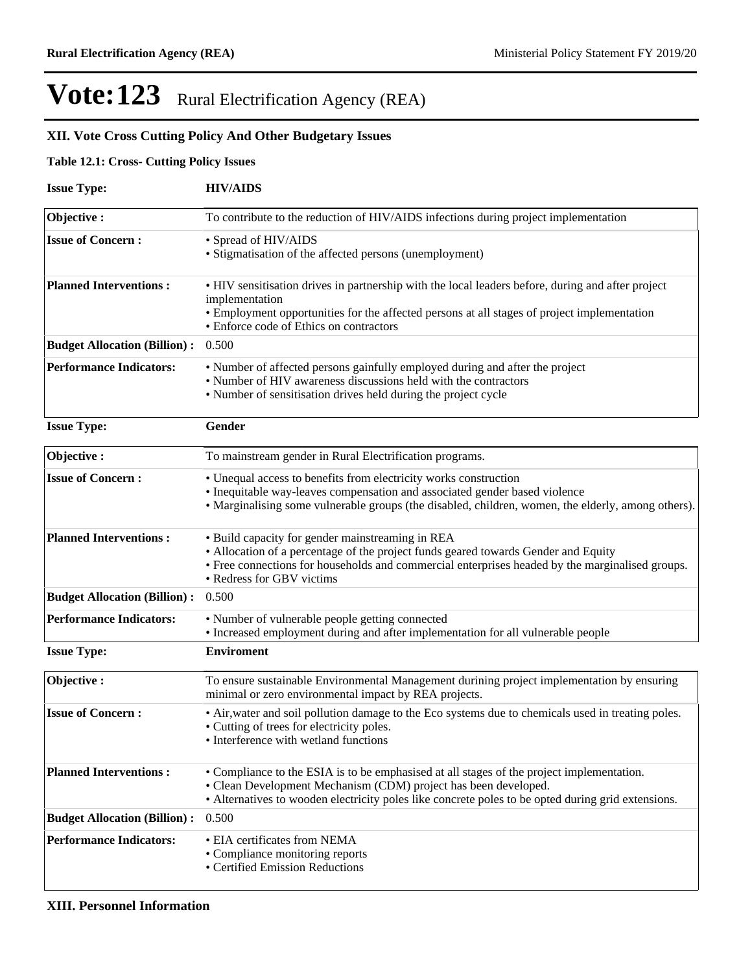### **XII. Vote Cross Cutting Policy And Other Budgetary Issues**

### **Table 12.1: Cross- Cutting Policy Issues**

| <b>Issue Type:</b>                  | <b>HIV/AIDS</b>                                                                                                                                                                                                                                                        |  |  |  |  |
|-------------------------------------|------------------------------------------------------------------------------------------------------------------------------------------------------------------------------------------------------------------------------------------------------------------------|--|--|--|--|
| Objective:                          | To contribute to the reduction of HIV/AIDS infections during project implementation                                                                                                                                                                                    |  |  |  |  |
| <b>Issue of Concern:</b>            | • Spread of HIV/AIDS<br>• Stigmatisation of the affected persons (unemployment)                                                                                                                                                                                        |  |  |  |  |
| <b>Planned Interventions:</b>       | • HIV sensitisation drives in partnership with the local leaders before, during and after project<br>implementation<br>• Employment opportunities for the affected persons at all stages of project implementation<br>• Enforce code of Ethics on contractors          |  |  |  |  |
| <b>Budget Allocation (Billion):</b> | 0.500                                                                                                                                                                                                                                                                  |  |  |  |  |
| <b>Performance Indicators:</b>      | • Number of affected persons gainfully employed during and after the project<br>• Number of HIV awareness discussions held with the contractors<br>• Number of sensitisation drives held during the project cycle                                                      |  |  |  |  |
| <b>Issue Type:</b>                  | Gender                                                                                                                                                                                                                                                                 |  |  |  |  |
| Objective:                          | To mainstream gender in Rural Electrification programs.                                                                                                                                                                                                                |  |  |  |  |
| <b>Issue of Concern:</b>            | • Unequal access to benefits from electricity works construction<br>• Inequitable way-leaves compensation and associated gender based violence<br>• Marginalising some vulnerable groups (the disabled, children, women, the elderly, among others).                   |  |  |  |  |
| <b>Planned Interventions:</b>       | • Build capacity for gender mainstreaming in REA<br>• Allocation of a percentage of the project funds geared towards Gender and Equity<br>• Free connections for households and commercial enterprises headed by the marginalised groups.<br>• Redress for GBV victims |  |  |  |  |
| <b>Budget Allocation (Billion):</b> | 0.500                                                                                                                                                                                                                                                                  |  |  |  |  |
| <b>Performance Indicators:</b>      | • Number of vulnerable people getting connected<br>• Increased employment during and after implementation for all vulnerable people                                                                                                                                    |  |  |  |  |
| <b>Issue Type:</b>                  | <b>Enviroment</b>                                                                                                                                                                                                                                                      |  |  |  |  |
| Objective:                          | To ensure sustainable Environmental Management durining project implementation by ensuring<br>minimal or zero environmental impact by REA projects.                                                                                                                    |  |  |  |  |
| <b>Issue of Concern:</b>            | • Air, water and soil pollution damage to the Eco systems due to chemicals used in treating poles.<br>• Cutting of trees for electricity poles.<br>• Interference with wetland functions                                                                               |  |  |  |  |
| <b>Planned Interventions:</b>       | • Compliance to the ESIA is to be emphasised at all stages of the project implementation.<br>• Clean Development Mechanism (CDM) project has been developed.<br>• Alternatives to wooden electricity poles like concrete poles to be opted during grid extensions.     |  |  |  |  |
| <b>Budget Allocation (Billion):</b> | 0.500                                                                                                                                                                                                                                                                  |  |  |  |  |
| <b>Performance Indicators:</b>      | • EIA certificates from NEMA<br>• Compliance monitoring reports<br>• Certified Emission Reductions                                                                                                                                                                     |  |  |  |  |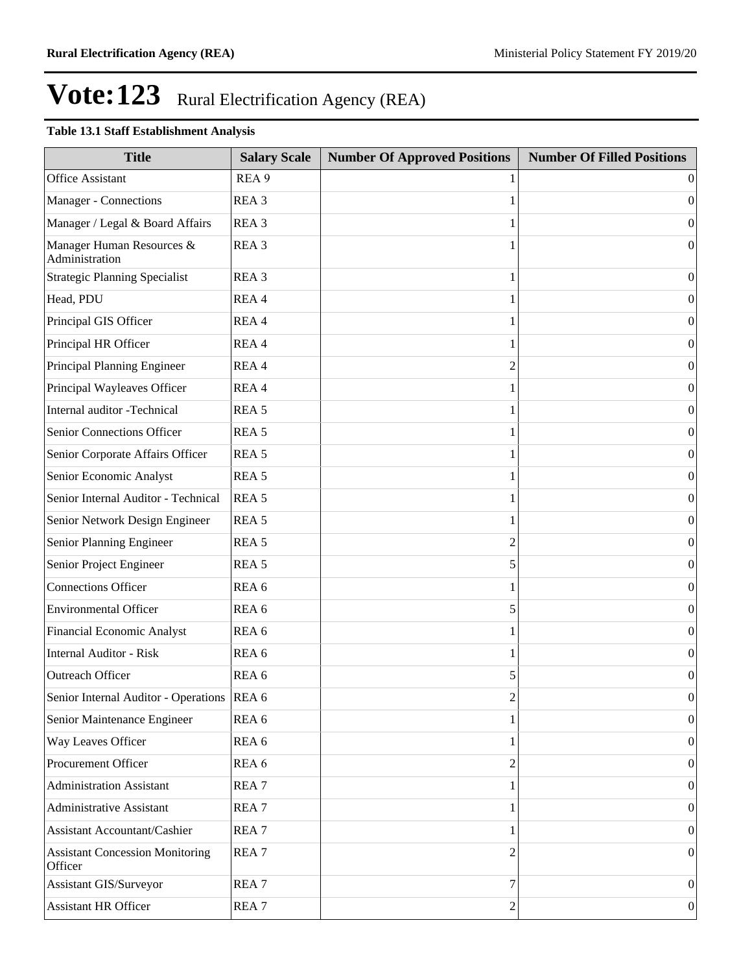### **Table 13.1 Staff Establishment Analysis**

| <b>Title</b>                                      | <b>Salary Scale</b> | <b>Number Of Approved Positions</b> | <b>Number Of Filled Positions</b> |
|---------------------------------------------------|---------------------|-------------------------------------|-----------------------------------|
| <b>Office Assistant</b>                           | REA <sub>9</sub>    |                                     | $\Omega$                          |
| Manager - Connections                             | REA <sub>3</sub>    |                                     | $\theta$                          |
| Manager / Legal & Board Affairs                   | REA <sub>3</sub>    |                                     | $\theta$                          |
| Manager Human Resources &<br>Administration       | REA <sub>3</sub>    |                                     | $\Omega$                          |
| <b>Strategic Planning Specialist</b>              | REA <sub>3</sub>    | 1                                   | $\mathbf{0}$                      |
| Head, PDU                                         | REA 4               |                                     | $\mathbf{0}$                      |
| Principal GIS Officer                             | REA 4               |                                     | $\mathbf{0}$                      |
| Principal HR Officer                              | REA 4               |                                     | $\mathbf{0}$                      |
| Principal Planning Engineer                       | REA 4               | 2                                   | $\mathbf{0}$                      |
| Principal Wayleaves Officer                       | REA 4               |                                     | $\mathbf{0}$                      |
| Internal auditor -Technical                       | REA <sub>5</sub>    |                                     | $\mathbf{0}$                      |
| Senior Connections Officer                        | REA <sub>5</sub>    |                                     | $\mathbf{0}$                      |
| Senior Corporate Affairs Officer                  | REA <sub>5</sub>    |                                     | $\mathbf{0}$                      |
| Senior Economic Analyst                           | REA <sub>5</sub>    |                                     | $\mathbf{0}$                      |
| Senior Internal Auditor - Technical               | REA <sub>5</sub>    |                                     | $\mathbf{0}$                      |
| Senior Network Design Engineer                    | REA <sub>5</sub>    |                                     | $\mathbf{0}$                      |
| Senior Planning Engineer                          | REA <sub>5</sub>    | 2                                   | $\mathbf{0}$                      |
| Senior Project Engineer                           | REA <sub>5</sub>    | 5                                   | $\mathbf{0}$                      |
| <b>Connections Officer</b>                        | REA 6               |                                     | $\mathbf{0}$                      |
| <b>Environmental Officer</b>                      | REA 6               | 5                                   | $\mathbf{0}$                      |
| <b>Financial Economic Analyst</b>                 | REA 6               |                                     | $\mathbf{0}$                      |
| <b>Internal Auditor - Risk</b>                    | REA <sub>6</sub>    |                                     | $\theta$                          |
| Outreach Officer                                  | REA 6               | 5                                   | $\mathbf{0}$                      |
| Senior Internal Auditor - Operations  REA 6       |                     | $\overline{c}$                      | 0                                 |
| Senior Maintenance Engineer                       | REA 6               |                                     | $\vert 0 \vert$                   |
| Way Leaves Officer                                | REA 6               |                                     | $\vert 0 \vert$                   |
| Procurement Officer                               | REA 6               | 2                                   | $\vert 0 \vert$                   |
| <b>Administration Assistant</b>                   | REA <sub>7</sub>    |                                     | $\vert 0 \vert$                   |
| <b>Administrative Assistant</b>                   | REA <sub>7</sub>    |                                     | $\vert 0 \vert$                   |
| <b>Assistant Accountant/Cashier</b>               | REA <sub>7</sub>    |                                     | $\vert 0 \vert$                   |
| <b>Assistant Concession Monitoring</b><br>Officer | REA <sub>7</sub>    | 2                                   | $\vert 0 \vert$                   |
| Assistant GIS/Surveyor                            | REA <sub>7</sub>    | 7                                   | $\mathbf{0}$                      |
| Assistant HR Officer                              | REA <sub>7</sub>    | 2                                   | 0                                 |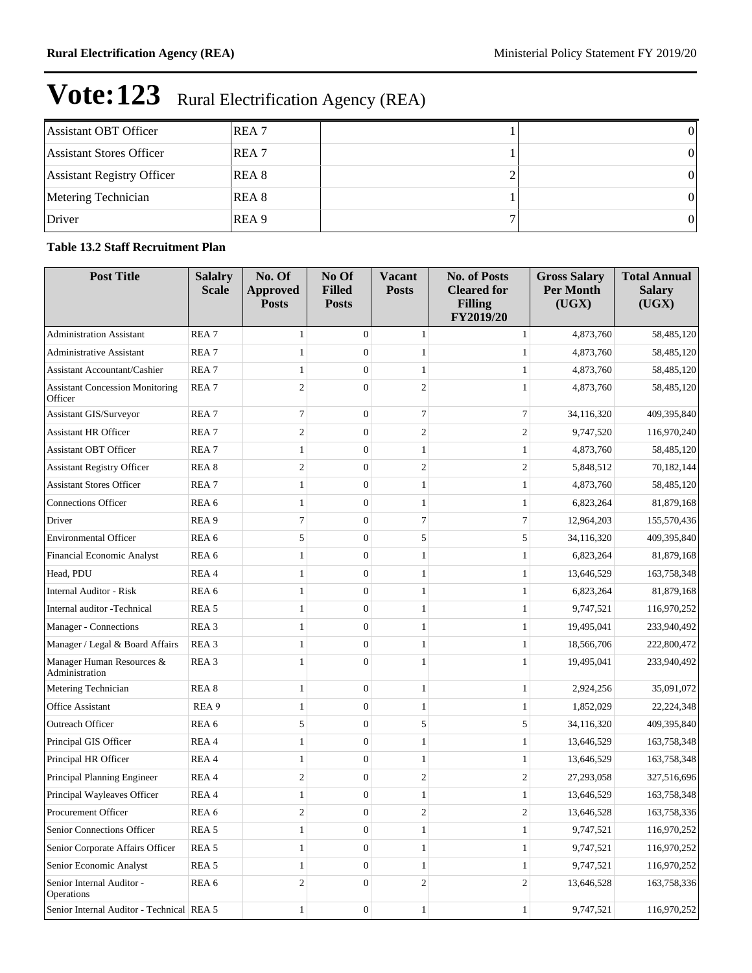| Assistant OBT Officer      | <b>REA</b> 7 |  |
|----------------------------|--------------|--|
| Assistant Stores Officer   | <b>REA</b> 7 |  |
| Assistant Registry Officer | <b>REA</b> 8 |  |
| Metering Technician        | REA 8        |  |
| Driver                     | REA 9        |  |

### **Table 13.2 Staff Recruitment Plan**

| <b>Post Title</b>                                 | <b>Salalry</b><br><b>Scale</b> | No. Of<br><b>Approved</b><br><b>Posts</b> | No Of<br><b>Filled</b><br><b>Posts</b> | Vacant<br><b>Posts</b> | <b>No. of Posts</b><br><b>Cleared for</b><br><b>Filling</b><br>FY2019/20 | <b>Gross Salary</b><br><b>Per Month</b><br>(UGX) | <b>Total Annual</b><br><b>Salary</b><br>(UGX) |
|---------------------------------------------------|--------------------------------|-------------------------------------------|----------------------------------------|------------------------|--------------------------------------------------------------------------|--------------------------------------------------|-----------------------------------------------|
| <b>Administration Assistant</b>                   | REA <sub>7</sub>               | $\mathbf{1}$                              | $\overline{0}$                         | $\mathbf{1}$           | 1                                                                        | 4,873,760                                        | 58,485,120                                    |
| <b>Administrative Assistant</b>                   | REA <sub>7</sub>               | 1                                         | $\overline{0}$                         | 1                      | 1                                                                        | 4,873,760                                        | 58,485,120                                    |
| <b>Assistant Accountant/Cashier</b>               | REA <sub>7</sub>               | 1                                         | $\mathbf{0}$                           | $\mathbf{1}$           | 1                                                                        | 4,873,760                                        | 58,485,120                                    |
| <b>Assistant Concession Monitoring</b><br>Officer | REA <sub>7</sub>               | $\overline{2}$                            | $\Omega$                               | $\mathfrak{2}$         |                                                                          | 4,873,760                                        | 58,485,120                                    |
| Assistant GIS/Surveyor                            | REA <sub>7</sub>               | $\tau$                                    | $\overline{0}$                         | 7                      | $\tau$                                                                   | 34,116,320                                       | 409,395,840                                   |
| <b>Assistant HR Officer</b>                       | REA <sub>7</sub>               | $\overline{2}$                            | $\overline{0}$                         | $\boldsymbol{2}$       | $\mathfrak{2}$                                                           | 9,747,520                                        | 116,970,240                                   |
| <b>Assistant OBT Officer</b>                      | REA <sub>7</sub>               | 1                                         | $\theta$                               | 1                      | 1                                                                        | 4,873,760                                        | 58,485,120                                    |
| <b>Assistant Registry Officer</b>                 | REA <sub>8</sub>               | $\overline{2}$                            | $\theta$                               | $\mathfrak{2}$         | $\mathfrak{2}$                                                           | 5,848,512                                        | 70,182,144                                    |
| <b>Assistant Stores Officer</b>                   | REA <sub>7</sub>               | 1                                         | $\theta$                               | 1                      | 1                                                                        | 4,873,760                                        | 58,485,120                                    |
| <b>Connections Officer</b>                        | REA <sub>6</sub>               | $\mathbf{1}$                              | $\mathbf{0}$                           | $\mathbf{1}$           | 1                                                                        | 6,823,264                                        | 81,879,168                                    |
| Driver                                            | REA <sub>9</sub>               | 7                                         | $\overline{0}$                         | 7                      | 7                                                                        | 12,964,203                                       | 155,570,436                                   |
| <b>Environmental Officer</b>                      | REA 6                          | 5                                         | $\theta$                               | 5                      | 5                                                                        | 34,116,320                                       | 409,395,840                                   |
| <b>Financial Economic Analyst</b>                 | REA <sub>6</sub>               | 1                                         | $\theta$                               | 1                      |                                                                          | 6,823,264                                        | 81,879,168                                    |
| Head, PDU                                         | REA 4                          | 1                                         | $\theta$                               | 1                      | 1                                                                        | 13,646,529                                       | 163,758,348                                   |
| <b>Internal Auditor - Risk</b>                    | REA <sub>6</sub>               | $\mathbf{1}$                              | $\mathbf{0}$                           | $\mathbf{1}$           | 1                                                                        | 6,823,264                                        | 81,879,168                                    |
| Internal auditor -Technical                       | REA <sub>5</sub>               | $\mathbf{1}$                              | $\overline{0}$                         | $\mathbf{1}$           | 1                                                                        | 9,747,521                                        | 116,970,252                                   |
| Manager - Connections                             | REA <sub>3</sub>               | 1                                         | $\overline{0}$                         | 1                      | 1                                                                        | 19,495,041                                       | 233,940,492                                   |
| Manager / Legal & Board Affairs                   | REA <sub>3</sub>               | $\mathbf{1}$                              | $\theta$                               | $\mathbf{1}$           | 1                                                                        | 18,566,706                                       | 222,800,472                                   |
| Manager Human Resources &<br>Administration       | REA <sub>3</sub>               | $\mathbf{1}$                              | $\Omega$                               | $\mathbf{1}$           | 1                                                                        | 19,495,041                                       | 233,940,492                                   |
| Metering Technician                               | REA <sub>8</sub>               | $\mathbf{1}$                              | $\theta$                               | $\mathbf{1}$           | 1                                                                        | 2,924,256                                        | 35,091,072                                    |
| Office Assistant                                  | REA 9                          | 1                                         | $\theta$                               | 1                      | 1                                                                        | 1,852,029                                        | 22, 224, 348                                  |
| Outreach Officer                                  | REA <sub>6</sub>               | 5                                         | $\overline{0}$                         | 5                      | 5                                                                        | 34,116,320                                       | 409,395,840                                   |
| Principal GIS Officer                             | REA 4                          | 1                                         | $\overline{0}$                         | $\mathbf{1}$           | 1                                                                        | 13,646,529                                       | 163,758,348                                   |
| Principal HR Officer                              | REA 4                          | 1                                         | $\mathbf{0}$                           | $\mathbf{1}$           | 1                                                                        | 13,646,529                                       | 163,758,348                                   |
| Principal Planning Engineer                       | REA 4                          | $\overline{2}$                            | $\theta$                               | $\boldsymbol{2}$       | 2                                                                        | 27,293,058                                       | 327,516,696                                   |
| Principal Wayleaves Officer                       | REA 4                          | 1                                         | $\overline{0}$                         | 1                      |                                                                          | 13,646,529                                       | 163,758,348                                   |
| Procurement Officer                               | REA 6                          | $\mathfrak{2}$                            | $\mathbf{0}$                           | $\overline{c}$         | $\mathfrak{2}$                                                           | 13,646,528                                       | 163,758,336                                   |
| Senior Connections Officer                        | REA <sub>5</sub>               | $\mathbf{1}$                              | $\mathbf{0}$                           | $\mathbf{1}$           | $\mathbf{1}$                                                             | 9,747,521                                        | 116,970,252                                   |
| Senior Corporate Affairs Officer                  | REA <sub>5</sub>               | $\mathbf{1}$                              | $\overline{0}$                         | $\mathbf{1}$           | $\mathbf{1}$                                                             | 9,747,521                                        | 116,970,252                                   |
| Senior Economic Analyst                           | REA 5                          | $\mathbf{1}$                              | $\mathbf{0}$                           | $\mathbf{1}$           | 1                                                                        | 9,747,521                                        | 116,970,252                                   |
| Senior Internal Auditor -<br>Operations           | REA 6                          | $\mathfrak{2}$                            | $\overline{0}$                         | $\overline{c}$         | $\mathfrak{2}$                                                           | 13,646,528                                       | 163,758,336                                   |
| Senior Internal Auditor - Technical REA 5         |                                | $\mathbf{1}$                              | $\boldsymbol{0}$                       | $\mathbf{1}$           | $\mathbf{1}$                                                             | 9,747,521                                        | 116,970,252                                   |